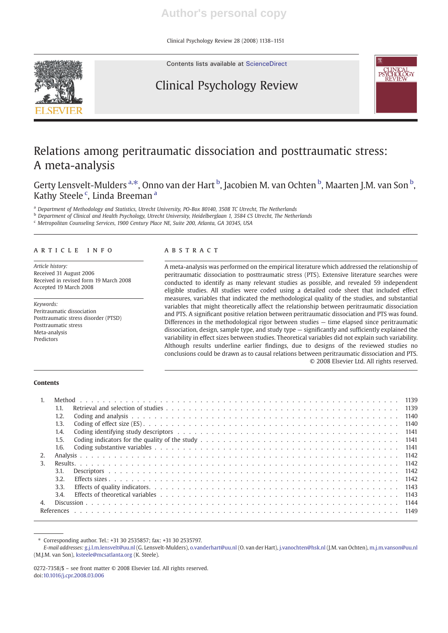Clinical Psychology Review 28 (2008) 1138–1151



Contents lists available at ScienceDirect

# Clinical Psychology Review



# Relations among peritraumatic dissociation and posttraumatic stress: A meta-analysis

Gerty Lensvelt-Mulders <sup>a,\*</sup>, Onno van der Hart <sup>b</sup>, Jacobien M. van Ochten <sup>b</sup>, Maarten J.M. van Son <sup>b</sup>, Kathy Steele<sup>c</sup>, Linda Breeman<sup>a</sup>

<sup>a</sup> Department of Methodology and Statistics, Utrecht University, PO-Box 80140, 3508 TC Utrecht, The Netherlands

**b Department of Clinical and Health Psychology, Utrecht University, Heidelberglaan 1, 3584 CS Utrecht, The Netherlands** 

<sup>c</sup> Metropolitan Counseling Services, 1900 Century Place NE, Suite 200, Atlanta, GA 30345, USA

#### article info abstract

Article history: Received 31 August 2006 Received in revised form 19 March 2008 Accepted 19 March 2008

Keywords: Peritraumatic dissociation Posttraumatic stress disorder (PTSD) Posttraumatic stress Meta-analysis Predictors

A meta-analysis was performed on the empirical literature which addressed the relationship of peritraumatic dissociation to posttraumatic stress (PTS). Extensive literature searches were conducted to identify as many relevant studies as possible, and revealed 59 independent eligible studies. All studies were coded using a detailed code sheet that included effect measures, variables that indicated the methodological quality of the studies, and substantial variables that might theoretically affect the relationship between peritraumatic dissociation and PTS. A significant positive relation between peritraumatic dissociation and PTS was found. Differences in the methodological rigor between studies — time elapsed since peritraumatic dissociation, design, sample type, and study type — significantly and sufficiently explained the variability in effect sizes between studies. Theoretical variables did not explain such variability. Although results underline earlier findings, due to designs of the reviewed studies no conclusions could be drawn as to causal relations between peritraumatic dissociation and PTS. © 2008 Elsevier Ltd. All rights reserved.

#### **Contents**

|              | Method     |      |  |  |
|--------------|------------|------|--|--|
|              | 1.1.       | 1139 |  |  |
|              | 1.2.       | 1140 |  |  |
|              | 1.3.       | 1140 |  |  |
|              | 1.4.       | 1141 |  |  |
|              | 1.5.       | 1141 |  |  |
|              | 1.6.       | 1141 |  |  |
|              |            | 1142 |  |  |
| 3.           |            | 1142 |  |  |
|              | 3.1.       |      |  |  |
|              | 3.2.       | 1142 |  |  |
|              | 3.3.       | 1143 |  |  |
|              | 3.4.       | 1143 |  |  |
| $\mathbf{4}$ |            | 1144 |  |  |
|              | References | 1149 |  |  |

⁎ Corresponding author. Tel.: +31 30 2535857; fax: +31 30 2535797.

E-mail addresses: g.j.l.m.lensvelt@uu.nl (G. Lensvelt-Mulders), o.vanderhart@uu.nl (O. van der Hart), j.vanochten@hsk.nl (J.M. van Ochten), m.j.m.vanson@uu.nl (M.J.M. van Son), ksteele@mcsatlanta.org (K. Steele).

<sup>0272-7358/\$</sup> – see front matter © 2008 Elsevier Ltd. All rights reserved. doi:10.1016/j.cpr.2008.03.006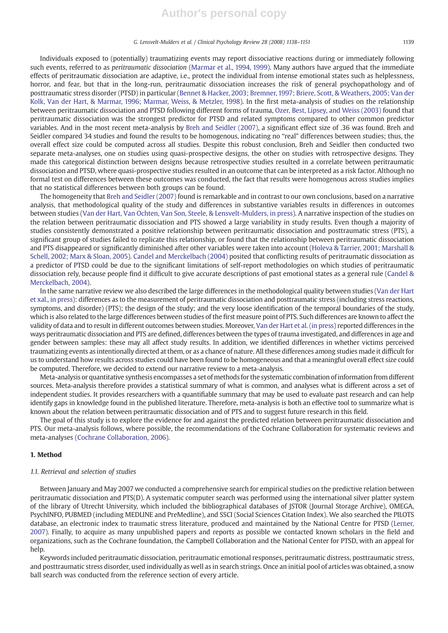Individuals exposed to (potentially) traumatizing events may report dissociative reactions during or immediately following such events, referred to as peritraumatic dissociation (Marmar et al., 1994, 1999). Many authors have argued that the immediate effects of peritraumatic dissociation are adaptive, i.e., protect the individual from intense emotional states such as helplessness, horror, and fear, but that in the long-run, peritraumatic dissociation increases the risk of general psychopathology and of posttraumatic stress disorder (PTSD) in particular (Bennet & Hacker, 2003; Bremner, 1997; Briere, Scott, & Weathers, 2005; Van der Kolk, Van der Hart, & Marmar, 1996; Marmar, Weiss, & Metzler, 1998). In the first meta-analysis of studies on the relationship between peritraumatic dissociation and PTSD following different forms of trauma, Ozer, Best, Lipsey, and Weiss (2003) found that peritraumatic dissociation was the strongest predictor for PTSD and related symptoms compared to other common predictor variables. And in the most recent meta-analysis by Breh and Seidler (2007), a significant effect size of .36 was found. Breh and Seidler compared 34 studies and found the results to be homogenous, indicating no "real" differences between studies; thus, the overall effect size could be computed across all studies. Despite this robust conclusion, Breh and Seidler then conducted two separate meta-analyses, one on studies using quasi-prospective designs, the other on studies with retrospective designs. They made this categorical distinction between designs because retrospective studies resulted in a correlate between peritraumatic dissociation and PTSD, where quasi-prospective studies resulted in an outcome that can be interpreted as a risk factor. Although no formal test on differences between these outcomes was conducted, the fact that results were homogenous across studies implies that no statistical differences between both groups can be found.

The homogeneity that Breh and Seidler (2007) found is remarkable and in contrast to our own conclusions, based on a narrative analysis, that methodological quality of the study and differences in substantive variables results in differences in outcomes between studies (Van der Hart, Van Ochten, Van Son, Steele, & Lensvelt-Mulders, in press). A narrative inspection of the studies on the relation between peritraumatic dissociation and PTS showed a large variability in study results. Even though a majority of studies consistently demonstrated a positive relationship between peritraumatic dissociation and posttraumatic stress (PTS), a significant group of studies failed to replicate this relationship, or found that the relationship between peritraumatic dissociation and PTS disappeared or significantly diminished after other variables were taken into account (Holeva & Tarrier, 2001; Marshall & Schell, 2002; Marx & Sloan, 2005). Candel and Merckelbach (2004) posited that conflicting results of peritraumatic dissociation as a predictor of PTSD could be due to the significant limitations of self-report methodologies on which studies of peritraumatic dissociation rely, because people find it difficult to give accurate descriptions of past emotional states as a general rule (Candel & Merckelbach, 2004).

In the same narrative review we also described the large differences in the methodological quality between studies (Van der Hart et xal., in press): differences as to the measurement of peritraumatic dissociation and posttraumatic stress (including stress reactions, symptoms, and disorder) (PTS); the design of the study; and the very loose identification of the temporal boundaries of the study, which is also related to the large differences between studies of the first measure point of PTS. Such differences are known to affect the validity of data and to result in different outcomes between studies. Moreover, Van der Hart et al. (in press) reported differences in the ways peritraumatic dissociation and PTS are defined, differences between the types of trauma investigated, and differences in age and gender between samples: these may all affect study results. In addition, we identified differences in whether victims perceived traumatizing events as intentionally directed at them, or as a chance of nature. All these differences among studies made it difficult for us to understand how results across studies could have been found to be homogeneous and that a meaningful overall effect size could be computed. Therefore, we decided to extend our narrative review to a meta-analysis.

Meta-analysis or quantitative synthesis encompasses a set of methods for the systematic combination of information from different sources. Meta-analysis therefore provides a statistical summary of what is common, and analyses what is different across a set of independent studies. It provides researchers with a quantifiable summary that may be used to evaluate past research and can help identify gaps in knowledge found in the published literature. Therefore, meta-analysis is both an effective tool to summarize what is known about the relation between peritraumatic dissociation and of PTS and to suggest future research in this field.

The goal of this study is to explore the evidence for and against the predicted relation between peritraumatic dissociation and PTS. Our meta-analysis follows, where possible, the recommendations of the Cochrane Collaboration for systematic reviews and meta-analyses (Cochrane Collaboration, 2006).

#### 1. Method

#### 1.1. Retrieval and selection of studies

Between January and May 2007 we conducted a comprehensive search for empirical studies on the predictive relation between peritraumatic dissociation and PTS(D). A systematic computer search was performed using the international silver platter system of the library of Utrecht University, which included the bibliographical databases of JSTOR (Journal Storage Archive), OMEGA, PsychINFO, PUBMED (including MEDLINE and PreMedline), and SSCI (Social Sciences Citation Index). We also searched the PILOTS database, an electronic index to traumatic stress literature, produced and maintained by the National Centre for PTSD (Lerner, 2007). Finally, to acquire as many unpublished papers and reports as possible we contacted known scholars in the field and organizations, such as the Cochrane foundation, the Campbell Collaboration and the National Center for PTSD, with an appeal for help

Keywords included peritraumatic dissociation, peritraumatic emotional responses, peritraumatic distress, posttraumatic stress, and posttraumatic stress disorder, used individually as well as in search strings. Once an initial pool of articles was obtained, a snow ball search was conducted from the reference section of every article.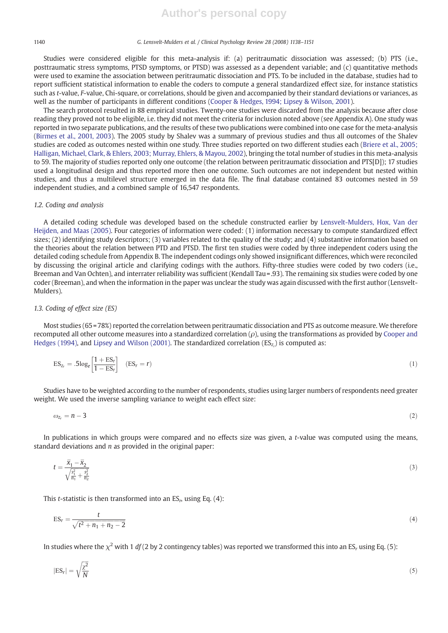Studies were considered eligible for this meta-analysis if: (a) peritraumatic dissociation was assessed; (b) PTS (i.e., posttraumatic stress symptoms, PTSD symptoms, or PTSD) was assessed as a dependent variable; and (c) quantitative methods were used to examine the association between peritraumatic dissociation and PTS. To be included in the database, studies had to report sufficient statistical information to enable the coders to compute a general standardized effect size, for instance statistics such as t-value, F-value, Chi-square, or correlations, should be given and accompanied by their standard deviations or variances, as well as the number of participants in different conditions (Cooper & Hedges, 1994; Lipsey & Wilson, 2001).

The search protocol resulted in 88 empirical studies. Twenty-one studies were discarded from the analysis because after close reading they proved not to be eligible, i.e. they did not meet the criteria for inclusion noted above (see Appendix A). One study was reported in two separate publications, and the results of these two publications were combined into one case for the meta-analysis (Birmes et al., 2001, 2003). The 2005 study by Shalev was a summary of previous studies and thus all outcomes of the Shalev studies are coded as outcomes nested within one study. Three studies reported on two different studies each (Briere et al., 2005; Halligan, Michael, Clark, & Ehlers, 2003; Murray, Ehlers, & Mayou, 2002), bringing the total number of studies in this meta-analysis to 59. The majority of studies reported only one outcome (the relation between peritraumatic dissociation and PTS[D]); 17 studies used a longitudinal design and thus reported more then one outcome. Such outcomes are not independent but nested within studies, and thus a multilevel structure emerged in the data file. The final database contained 83 outcomes nested in 59 independent studies, and a combined sample of 16,547 respondents.

#### 1.2. Coding and analysis

A detailed coding schedule was developed based on the schedule constructed earlier by Lensvelt-Mulders, Hox, Van der Heijden, and Maas (2005). Four categories of information were coded: (1) information necessary to compute standardized effect sizes; (2) identifying study descriptors; (3) variables related to the quality of the study; and (4) substantive information based on the theories about the relation between PTD and PTSD. The first ten studies were coded by three independent coders using the detailed coding schedule from Appendix B. The independent codings only showed insignificant differences, which were reconciled by discussing the original article and clarifying codings with the authors. Fifty-three studies were coded by two coders (i.e., Breeman and Van Ochten), and interrater reliability was sufficient (Kendall Tau = .93). The remaining six studies were coded by one coder (Breeman), and when the information in the paper was unclear the study was again discussed with the first author (Lensvelt-Mulders).

#### 1.3. Coding of effect size (ES)

Most studies (65 =78%) reported the correlation between peritraumatic dissociation and PTS as outcome measure. We therefore recomputed all other outcome measures into a standardized correlation  $(\rho)$ , using the transformations as provided by Cooper and Hedges (1994), and Lipsey and Wilson (2001). The standardized correlation (ES<sub>z,</sub>) is computed as:

$$
ES_{Z_r} = .5log_e \left[ \frac{1 + ES_r}{1 - ES_r} \right] \quad (ES_r = r)
$$
 (1)

Studies have to be weighted according to the number of respondents, studies using larger numbers of respondents need greater weight. We used the inverse sampling variance to weight each effect size:

$$
\omega_{z_r} = n - 3 \tag{2}
$$

In publications in which groups were compared and no effects size was given, a *t*-value was computed using the means, standard deviations and  $n$  as provided in the original paper:

$$
t = \frac{\overline{x}_1 - \overline{x}_2}{\sqrt{\frac{s_1^2}{n_1} + \frac{s_2^2}{n_2}}} \tag{3}
$$

This *t*-statistic is then transformed into an  $ES_n$  using Eq. (4):

$$
ES_r = \frac{t}{\sqrt{t^2 + n_1 + n_2 - 2}}\tag{4}
$$

In studies where the  $\chi^2$  with 1 df (2 by 2 contingency tables) was reported we transformed this into an ES<sub>r</sub> using Eq. (5):

$$
|\text{ES}_r| = \sqrt{\frac{\chi^2}{N}}\tag{5}
$$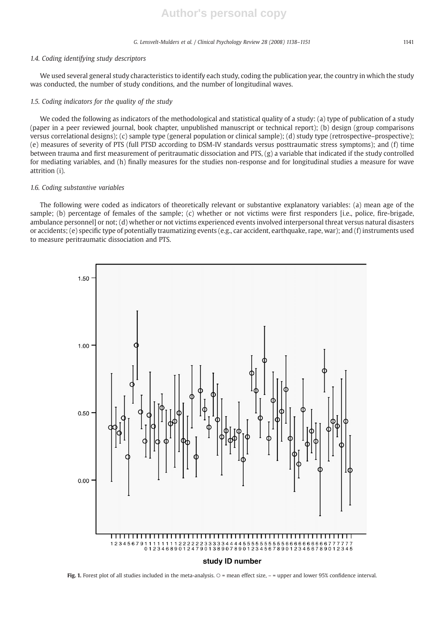#### 1.4. Coding identifying study descriptors

We used several general study characteristics to identify each study, coding the publication year, the country in which the study was conducted, the number of study conditions, and the number of longitudinal waves.

#### 1.5. Coding indicators for the quality of the study

We coded the following as indicators of the methodological and statistical quality of a study: (a) type of publication of a study (paper in a peer reviewed journal, book chapter, unpublished manuscript or technical report); (b) design (group comparisons versus correlational designs); (c) sample type (general population or clinical sample); (d) study type (retrospective–prospective); (e) measures of severity of PTS (full PTSD according to DSM-IV standards versus posttraumatic stress symptoms); and (f) time between trauma and first measurement of peritraumatic dissociation and PTS, (g) a variable that indicated if the study controlled for mediating variables, and (h) finally measures for the studies non-response and for longitudinal studies a measure for wave attrition (i).

#### 1.6. Coding substantive variables

The following were coded as indicators of theoretically relevant or substantive explanatory variables: (a) mean age of the sample; (b) percentage of females of the sample; (c) whether or not victims were first responders [i.e., police, fire-brigade, ambulance personnel] or not; (d) whether or not victims experienced events involved interpersonal threat versus natural disasters or accidents; (e) specific type of potentially traumatizing events (e.g., car accident, earthquake, rape, war); and (f) instruments used to measure peritraumatic dissociation and PTS.



Fig. 1. Forest plot of all studies included in the meta-analysis. ○ = mean effect size, – = upper and lower 95% confidence interval.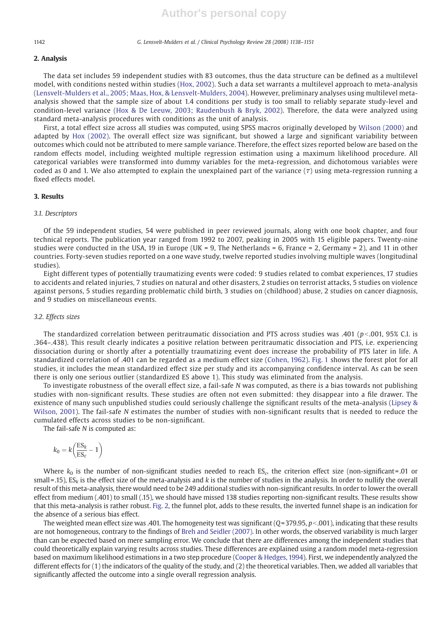#### 2. Analysis

The data set includes 59 independent studies with 83 outcomes, thus the data structure can be defined as a multilevel model, with conditions nested within studies (Hox, 2002). Such a data set warrants a multilevel approach to meta-analysis (Lensvelt-Mulders et al., 2005; Maas, Hox, & Lensvelt-Mulders, 2004). However, preliminary analyses using multilevel metaanalysis showed that the sample size of about 1.4 conditions per study is too small to reliably separate study-level and condition-level variance (Hox & De Leeuw, 2003; Raudenbush & Bryk, 2002). Therefore, the data were analyzed using standard meta-analysis procedures with conditions as the unit of analysis.

First, a total effect size across all studies was computed, using SPSS macros originally developed by Wilson (2000) and adapted by Hox (2002). The overall effect size was significant, but showed a large and significant variability between outcomes which could not be attributed to mere sample variance. Therefore, the effect sizes reported below are based on the random effects model, including weighted multiple regression estimation using a maximum likelihood procedure. All categorical variables were transformed into dummy variables for the meta-regression, and dichotomous variables were coded as 0 and 1. We also attempted to explain the unexplained part of the variance  $(\tau)$  using meta-regression running a fixed effects model.

#### 3. Results

#### 3.1. Descriptors

Of the 59 independent studies, 54 were published in peer reviewed journals, along with one book chapter, and four technical reports. The publication year ranged from 1992 to 2007, peaking in 2005 with 15 eligible papers. Twenty-nine studies were conducted in the USA, 19 in Europe (UK = 9, The Netherlands = 6, France = 2, Germany = 2), and 11 in other countries. Forty-seven studies reported on a one wave study, twelve reported studies involving multiple waves (longitudinal studies).

Eight different types of potentially traumatizing events were coded: 9 studies related to combat experiences, 17 studies to accidents and related injuries, 7 studies on natural and other disasters, 2 studies on terrorist attacks, 5 studies on violence against persons, 5 studies regarding problematic child birth, 3 studies on (childhood) abuse, 2 studies on cancer diagnosis, and 9 studies on miscellaneous events.

#### 3.2. Effects sizes

The standardized correlation between peritraumatic dissociation and PTS across studies was .401 ( $p$  < 001, 95% C.I. is .364–.438). This result clearly indicates a positive relation between peritraumatic dissociation and PTS, i.e. experiencing dissociation during or shortly after a potentially traumatizing event does increase the probability of PTS later in life. A standardized correlation of .401 can be regarded as a medium effect size (Cohen, 1962). Fig. 1 shows the forest plot for all studies, it includes the mean standardized effect size per study and its accompanying confidence interval. As can be seen there is only one serious outlier (standardized ES above 1). This study was eliminated from the analysis.

To investigate robustness of the overall effect size, a fail-safe N was computed, as there is a bias towards not publishing studies with non-significant results. These studies are often not even submitted: they disappear into a file drawer. The existence of many such unpublished studies could seriously challenge the significant results of the meta-analysis (Lipsey & Wilson, 2001). The fail-safe N estimates the number of studies with non-significant results that is needed to reduce the cumulated effects across studies to be non-significant.

The fail-safe N is computed as:

$$
k_0 = k \bigg( \frac{\mathrm{ES}_k}{\mathrm{ES}_c} - 1 \bigg)
$$

Where  $k_0$  is the number of non-significant studies needed to reach  $ES_c$ , the criterion effect size (non-significant=.01 or small = .15), ES<sub>k</sub> is the effect size of the meta-analysis and k is the number of studies in the analysis. In order to nullify the overall result of this meta-analysis, there would need to be 249 additional studies with non-significant results. In order to lower the overall effect from medium (.401) to small (.15), we should have missed 138 studies reporting non-significant results. These results show that this meta-analysis is rather robust. Fig. 2, the funnel plot, adds to these results, the inverted funnel shape is an indication for the absence of a serious bias effect.

The weighted mean effect size was .401. The homogeneity test was significant  $(0=379.95, p<0.001)$ , indicating that these results are not homogeneous, contrary to the findings of Breh and Seidler (2007). In other words, the observed variability is much larger than can be expected based on mere sampling error. We conclude that there are differences among the independent studies that could theoretically explain varying results across studies. These differences are explained using a random model meta-regression based on maximum likelihood estimations in a two step procedure (Cooper & Hedges, 1994). First, we independently analyzed the different effects for (1) the indicators of the quality of the study, and (2) the theoretical variables. Then, we added all variables that significantly affected the outcome into a single overall regression analysis.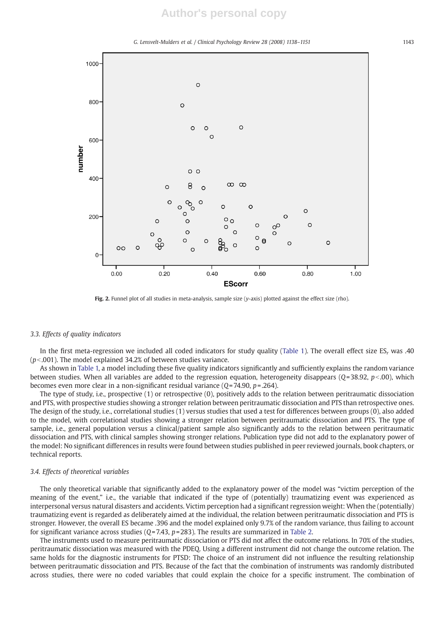



Fig. 2. Funnel plot of all studies in meta-analysis, sample size (y-axis) plotted against the effect size (rho).

#### 3.3. Effects of quality indicators

In the first meta-regression we included all coded indicators for study quality (Table 1). The overall effect size  $ES_r$  was .40 ( $p$ <.001). The model explained 34.2% of between studies variance.

As shown in Table 1, a model including these five quality indicators significantly and sufficiently explains the random variance between studies. When all variables are added to the regression equation, heterogeneity disappears ( $Q=38.92$ ,  $p<0$ ), which becomes even more clear in a non-significant residual variance  $(Q=74.90, p=.264)$ .

The type of study, i.e., prospective (1) or retrospective (0), positively adds to the relation between peritraumatic dissociation and PTS, with prospective studies showing a stronger relation between peritraumatic dissociation and PTS than retrospective ones. The design of the study, i.e., correlational studies (1) versus studies that used a test for differences between groups (0), also added to the model, with correlational studies showing a stronger relation between peritraumatic dissociation and PTS. The type of sample, i.e., general population versus a clinical/patient sample also significantly adds to the relation between peritraumatic dissociation and PTS, with clinical samples showing stronger relations. Publication type did not add to the explanatory power of the model: No significant differences in results were found between studies published in peer reviewed journals, book chapters, or technical reports.

#### 3.4. Effects of theoretical variables

The only theoretical variable that significantly added to the explanatory power of the model was "victim perception of the meaning of the event," i.e., the variable that indicated if the type of (potentially) traumatizing event was experienced as interpersonal versus natural disasters and accidents. Victim perception had a significant regression weight: When the (potentially) traumatizing event is regarded as deliberately aimed at the individual, the relation between peritraumatic dissociation and PTS is stronger. However, the overall ES became .396 and the model explained only 9.7% of the random variance, thus failing to account for significant variance across studies ( $Q = 7.43$ ,  $p = 283$ ). The results are summarized in Table 2.

The instruments used to measure peritraumatic dissociation or PTS did not affect the outcome relations. In 70% of the studies, peritraumatic dissociation was measured with the PDEQ. Using a different instrument did not change the outcome relation. The same holds for the diagnostic instruments for PTSD: The choice of an instrument did not influence the resulting relationship between peritraumatic dissociation and PTS. Because of the fact that the combination of instruments was randomly distributed across studies, there were no coded variables that could explain the choice for a specific instrument. The combination of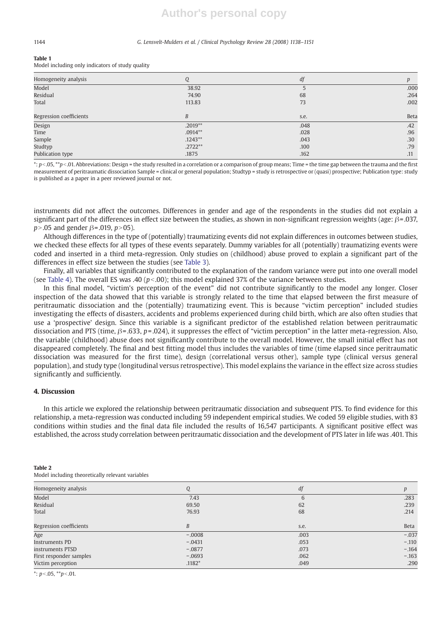#### 1144 G. Lensvelt-Mulders et al. / Clinical Psychology Review 28 (2008) 1138–1151

#### Table 1

Model including only indicators of study quality

| Homogeneity analysis    | Q         | $d\!f$ | $\boldsymbol{D}$ |
|-------------------------|-----------|--------|------------------|
| Model                   | 38.92     |        | .000             |
| Residual                | 74.90     | 68     | .264             |
| Total                   | 113.83    | 73     | .002             |
| Regression coefficients | B         | s.e.   | <b>Beta</b>      |
| Design                  | $.2019**$ | .048   | .42              |
| Time                    | $.0914**$ | .028   | .96              |
| Sample                  | $.1243**$ | .043   | .30              |
| Studtyp                 | $.2722**$ | .100   | .79              |
| Publication type        | .1875     | .162   | .11              |

 $\dot{p}$  :  $p$  <.05,  $\dot{p}$  \*\*p <.01. Abbreviations: Design = the study resulted in a correlation or a comparison of group means; Time = the time gap between the trauma and the first measurement of peritraumatic dissociation Sample = clinical or general population; Studtyp = study is retrospective or (quasi) prospective; Publication type: study is published as a paper in a peer reviewed journal or not.

instruments did not affect the outcomes. Differences in gender and age of the respondents in the studies did not explain a significant part of the differences in effect size between the studies, as shown in non-significant regression weights (age:  $\beta$ =.037,  $p > .05$  and gender  $\beta = .019$ ,  $p > .05$ ).

Although differences in the type of (potentially) traumatizing events did not explain differences in outcomes between studies, we checked these effects for all types of these events separately. Dummy variables for all (potentially) traumatizing events were coded and inserted in a third meta-regression. Only studies on (childhood) abuse proved to explain a significant part of the differences in effect size between the studies (see Table 3).

Finally, all variables that significantly contributed to the explanation of the random variance were put into one overall model (see Table 4). The overall ES was .40 ( $p<0$ ); this model explained 37% of the variance between studies.

In this final model, "victim's perception of the event" did not contribute significantly to the model any longer. Closer inspection of the data showed that this variable is strongly related to the time that elapsed between the first measure of peritraumatic dissociation and the (potentially) traumatizing event. This is because "victim perception" included studies investigating the effects of disasters, accidents and problems experienced during child birth, which are also often studies that use a 'prospective' design. Since this variable is a significant predictor of the established relation between peritraumatic dissociation and PTS (time,  $\beta$ = .633, p= .024), it suppresses the effect of "victim perception" in the latter meta-regression. Also, the variable (childhood) abuse does not significantly contribute to the overall model. However, the small initial effect has not disappeared completely. The final and best fitting model thus includes the variables of time (time elapsed since peritraumatic dissociation was measured for the first time), design (correlational versus other), sample type (clinical versus general population), and study type (longitudinal versus retrospective). This model explains the variance in the effect size across studies significantly and sufficiently.

#### 4. Discussion

In this article we explored the relationship between peritraumatic dissociation and subsequent PTS. To find evidence for this relationship, a meta-regression was conducted including 59 independent empirical studies. We coded 59 eligible studies, with 83 conditions within studies and the final data file included the results of 16,547 participants. A significant positive effect was established, the across study correlation between peritraumatic dissociation and the development of PTS later in life was .401. This

| Homogeneity analysis    | Q        | df   | p       |
|-------------------------|----------|------|---------|
| Model                   | 7.43     | 6    | .283    |
| Residual                | 69.50    | 62   | .239    |
| Total                   | 76.93    | 68   | .214    |
| Regression coefficients | B        | s.e. | Beta    |
| Age                     | $-.0008$ | .003 | $-.037$ |
| Instruments PD          | $-.0431$ | .053 | $-.110$ |
| instruments PTSD        | $-.0877$ | .073 | $-.164$ |
| First responder samples | $-.0693$ | .062 | $-.163$ |
| Victim perception       | $.1182*$ | .049 | .290    |

Table 2 Model including theoretically relevant variables

\*:  $p<0.05$ , \*\*p $<0.01$ .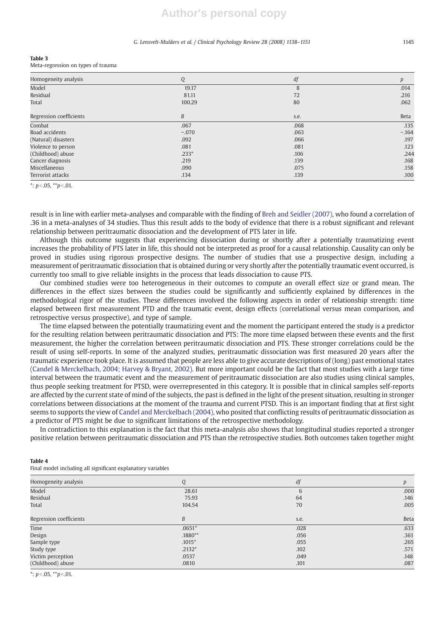| Table 3                            |  |  |
|------------------------------------|--|--|
| Meta-regression on types of trauma |  |  |

| Homogeneity analysis    | Q       | $\it df$ | p           |
|-------------------------|---------|----------|-------------|
| Model                   | 19.17   | 8        | .014        |
| Residual                | 81.11   | 72       | .216        |
| Total                   | 100.29  | 80       | .062        |
| Regression coefficients | B       | s.e.     | <b>Beta</b> |
| Combat                  | .067    | .068     | .135        |
| Road accidents          | $-.070$ | .063     | $-.164$     |
| (Natural) disasters     | .092    | .066     | .197        |
| Violence to person      | .081    | .081     | .123        |
| (Childhood) abuse       | $.233*$ | .106     | .244        |
| Cancer diagnosis        | .219    | .139     | .168        |
| Miscellaneous           | .090    | .075     | .158        |
| Terrorist attacks       | .134    | .139     | .100        |

 $*: p<0.05, **p<0.01.$ 

result is in line with earlier meta-analyses and comparable with the finding of Breh and Seidler (2007), who found a correlation of .36 in a meta-analyses of 34 studies. Thus this result adds to the body of evidence that there is a robust significant and relevant relationship between peritraumatic dissociation and the development of PTS later in life.

Although this outcome suggests that experiencing dissociation during or shortly after a potentially traumatizing event increases the probability of PTS later in life, this should not be interpreted as proof for a causal relationship. Causality can only be proved in studies using rigorous prospective designs. The number of studies that use a prospective design, including a measurement of peritraumatic dissociation that is obtained during or very shortly after the potentially traumatic event occurred, is currently too small to give reliable insights in the process that leads dissociation to cause PTS.

Our combined studies were too heterogeneous in their outcomes to compute an overall effect size or grand mean. The differences in the effect sizes between the studies could be significantly and sufficiently explained by differences in the methodological rigor of the studies. These differences involved the following aspects in order of relationship strength: time elapsed between first measurement PTD and the traumatic event, design effects (correlational versus mean comparison, and retrospective versus prospective), and type of sample.

The time elapsed between the potentially traumatizing event and the moment the participant entered the study is a predictor for the resulting relation between peritraumatic dissociation and PTS: The more time elapsed between these events and the first measurement, the higher the correlation between peritraumatic dissociation and PTS. These stronger correlations could be the result of using self-reports. In some of the analyzed studies, peritraumatic dissociation was first measured 20 years after the traumatic experience took place. It is assumed that people are less able to give accurate descriptions of (long) past emotional states (Candel & Merckelbach, 2004; Harvey & Bryant, 2002). But more important could be the fact that most studies with a large time interval between the traumatic event and the measurement of peritraumatic dissociation are also studies using clinical samples, thus people seeking treatment for PTSD, were overrepresented in this category. It is possible that in clinical samples self-reports are affected by the current state of mind of the subjects, the past is defined in the light of the present situation, resulting in stronger correlations between dissociations at the moment of the trauma and current PTSD. This is an important finding that at first sight seems to supports the view of Candel and Merckelbach (2004), who posited that conflicting results of peritraumatic dissociation as a predictor of PTS might be due to significant limitations of the retrospective methodology.

In contradiction to this explanation is the fact that this meta-analysis also shows that longitudinal studies reported a stronger positive relation between peritraumatic dissociation and PTS than the retrospective studies. Both outcomes taken together might

| Homogeneity analysis    | Q         | df   | p    |
|-------------------------|-----------|------|------|
| Model                   | 28.61     | 6    | .000 |
| Residual                | 75.93     | 64   | .146 |
| Total                   | 104.54    | 70   | .005 |
|                         |           |      |      |
| Regression coefficients | B         | s.e. | Beta |
| Time                    | $.0651*$  | .028 | .633 |
| Design                  | $.1880**$ | .056 | .361 |
| Sample type             | $.1015*$  | .055 | .265 |
| Study type              | $.2132*$  | .102 | .571 |
| Victim perception       | .0537     | .049 | .148 |
| (Childhood) abuse       | .0810     | .101 | .087 |
|                         |           |      |      |

### Table 4

Final model including all significant explanatory variables

\*:  $p<0.05$ , \*\*p $<0.01$ .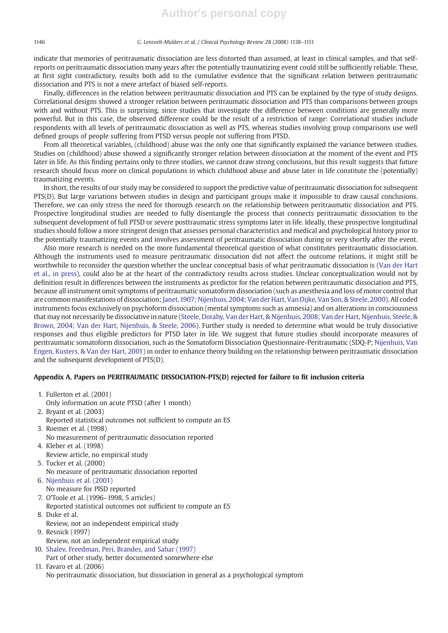indicate that memories of peritraumatic dissociation are less distorted than assumed, at least in clinical samples, and that selfreports on peritraumatic dissociation many years after the potentially traumatizing event could still be sufficiently reliable. These, at first sight contradictory, results both add to the cumulative evidence that the significant relation between peritraumatic dissociation and PTS is not a mere artefact of biased self-reports.

Finally, differences in the relation between peritraumatic dissociation and PTS can be explained by the type of study designs. Correlational designs showed a stronger relation between peritraumatic dissociation and PTS than comparisons between groups with and without PTS. This is surprising, since studies that investigate the difference between conditions are generally more powerful. But in this case, the observed difference could be the result of a restriction of range: Correlational studies include respondents with all levels of peritraumatic dissociation as well as PTS, whereas studies involving group comparisons use well defined groups of people suffering from PTSD versus people not suffering from PTSD.

From all theoretical variables, (childhood) abuse was the only one that significantly explained the variance between studies. Studies on (childhood) abuse showed a significantly stronger relation between dissociation at the moment of the event and PTS later in life. As this finding pertains only to three studies, we cannot draw strong conclusions, but this result suggests that future research should focus more on clinical populations in which childhood abuse and abuse later in life constitute the (potentially) traumatizing events.

In short, the results of our study may be considered to support the predictive value of peritraumatic dissociation for subsequent PTS(D). But large variations between studies in design and participant groups make it impossible to draw causal conclusions. Therefore, we can only stress the need for thorough research on the relationship between peritraumatic dissociation and PTS. Prospective longitudinal studies are needed to fully disentangle the process that connects peritraumatic dissociation to the subsequent development of full PTSD or severe posttraumatic stress symptoms later in life. Ideally, these prospective longitudinal studies should follow a more stringent design that assesses personal characteristics and medical and psychological history prior to the potentially traumatizing events and involves assessment of peritraumatic dissociation during or very shortly after the event.

Also more research is needed on the more fundamental theoretical question of what constitutes peritraumatic dissociation. Although the instruments used to measure peritraumatic dissociation did not affect the outcome relations, it might still be worthwhile to reconsider the question whether the unclear conceptual basis of what peritraumatic dissociation is (Van der Hart et al., in press), could also be at the heart of the contradictory results across studies. Unclear conceptualization would not by definition result in differences between the instruments as predictor for the relation between peritraumatic dissociation and PTS, because all instrument omit symptoms of peritraumatic somatoform dissociation (such as anesthesia and loss of motor control that are common manifestations of dissociation; Janet, 1907; Nijenhuis, 2004; Van der Hart, Van Dijke, Van Son, & Steele, 2000). All coded instruments focus exclusively on psychoform dissociation (mental symptoms such as amnesia) and on alterations in consciousness that may not necessarily be dissociative in nature (Steele, Dorahy, Van der Hart, & Nijenhuis, 2008; Van der Hart, Nijenhuis, Steele, & Brown, 2004; Van der Hart, Nijenhuis, & Steele, 2006). Further study is needed to determine what would be truly dissociative responses and thus eligible predictors for PTSD later in life. We suggest that future studies should incorporate measures of peritraumatic somatoform dissociation, such as the Somatoform Dissociation Questionnaire-Peritraumatic (SDQ-P; Nijenhuis, Van Engen, Kusters, & Van der Hart, 2001) in order to enhance theory building on the relationship between peritraumatic dissociation and the subsequent development of PTS(D).

#### Appendix A. Papers on PERITRAUMATIC DISSOCIATION-PTS(D) rejected for failure to fit inclusion criteria

- 1. Fullerton et al. (2001) Only information on acute PTSD (after 1 month)
- 2. Bryant et al. (2003) Reported statistical outcomes not sufficient to compute an ES
- 3. Roemer et al. (1998) No measurement of peritraumatic dissociation reported
- 4. Kleber et al. (1998) Review article, no empirical study
- 5. Tucker et al. (2000) No measure of peritraumatic dissociation reported
- 6. Nijenhuis et al. (2001) No measure for PlSD reported
- 7. O'Toole et al. (1996–1998, 5 articles)
- Reported statistical outcomes not sufficient to compute an ES 8. Duke et al.
- Review, not an independent empirical study
- 9. Resnick (1997)
- Review, not an independent empirical study

10. Shalev, Freedman, Peri, Brandes, and Sahar (1997)

Part of other study, better documented somewhere else 11. Favaro et al. (2006)

No peritraumatic dissociation, but dissociation in general as a psychological symptom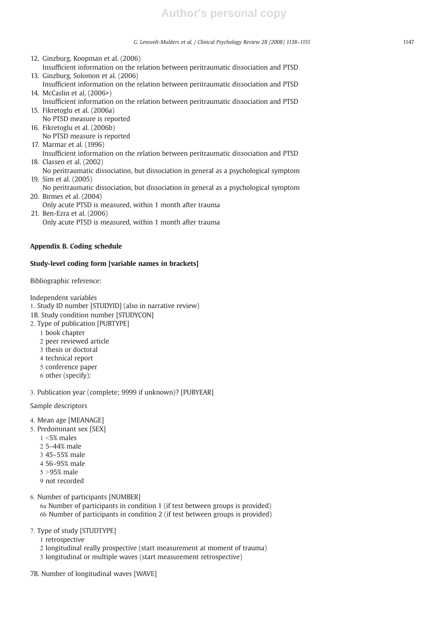G. Lensvelt-Mulders et al. / Clinical Psychology Review 28 (2008) 1138-1151 1147

- 12. Ginzburg, Koopman et al. (2006)
- Insufficient information on the relation between peritraumatic dissociation and PTSD 13. Ginzburg, Solomon et al. (2006)
- Insufficient information on the relation between peritraumatic dissociation and PTSD 14. McCaslin et al. (2006>)
- Insufficient information on the relation between peritraumatic dissociation and PTSD 15. Fikretoglu et al. (2006a)
- No PTSD measure is reported
- 16. Fikretoglu et al. (2006b) No PTSD measure is reported
- 17. Marmar et al. (1996) Insufficient information on the relation between peritraumatic dissociation and PTSD
- 18. Classen et al. (2002)
- No peritraumatic dissociation, but dissociation in general as a psychological symptom 19. Sim et al. (2005)
- No peritraumatic dissociation, but dissociation in general as a psychological symptom 20. Birmes et al. (2004)
- Only acute PTSD is measured, within 1 month after trauma
- 21. Ben-Ezra et al. (2006) Only acute PTSD is measured, within 1 month after trauma

#### Appendix B. Coding schedule

#### Study-level coding form [variable names in brackets]

Bibliographic reference:

Independent variables

- 1. Study ID number [STUDYID] (also in narrative review)
- 1B. Study condition number [STUDYCON]
- 2. Type of publication [PUBTYPE]
	- 1 book chapter
	- 2 peer reviewed article
	- 3 thesis or doctoral
	- 4 technical report
	- 5 conference paper
	- 6 other (specify):

3. Publication year (complete; 9999 if unknown)? [PUBYEAR]

Sample descriptors

- 4. Mean age [MEANAGE]
- 5. Predominant sex [SEX]
	- $1 < 5\%$  males
	- 2 5–44% male
	- 3 45–55% male
	- 4 56–95% male
	- $5 > 95\%$  male
	- 9 not recorded
- 6. Number of participants [NUMBER]

6a Number of participants in condition 1 (if test between groups is provided) 6b Number of participants in condition 2 (if test between groups is provided)

- 7. Type of study [STUDTYPE]
	- 1 retrospective
	- 2 longitudinal really prospective (start measurement at moment of trauma)
	- 3 longitudinal or multiple waves (start measurement retrospective)

7B. Number of longitudinal waves [WAVE]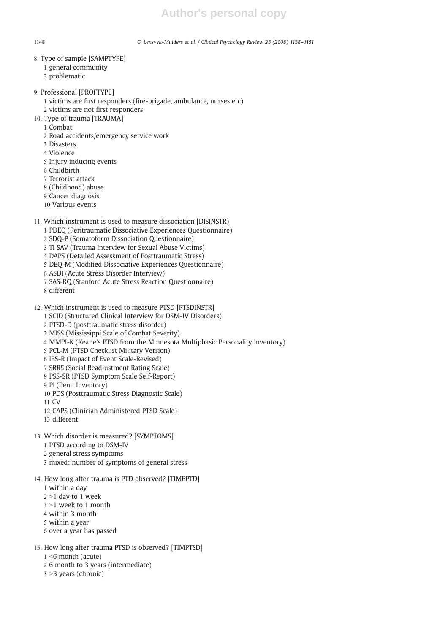#### G. Lensvelt-Mulders et al. / Clinical Psychology Review 28 (2008) 1138–1151

#### 8. Type of sample [SAMPTYPE]

- general community
- problematic
- 9. Professional [PROFTYPE]
	- victims are first responders (fire-brigade, ambulance, nurses etc)
	- victims are not first responders
- 10. Type of trauma [TRAUMA]
	- Combat
	- Road accidents/emergency service work
	- Disasters
	- Violence
	- Injury inducing events
	- Childbirth
	- Terrorist attack
	- (Childhood) abuse
	- Cancer diagnosis
	- Various events
- 11. Which instrument is used to measure dissociation [DISINSTR)
	- PDEQ (Peritraumatic Dissociative Experiences Questionnaire)
	- SDQ-P (Somatoform Dissociation Questionnaire)
	- TI SAV (Trauma Interview for Sexual Abuse Victims)
	- DAPS (Detailed Assessment of Posttraumatic Stress)
	- DEQ-M (Modified Dissociative Experiences Questionnaire)
	- ASDI (Acute Stress Disorder Interview)
	- SAS-RQ (Stanford Acute Stress Reaction Questionnaire)
	- different
- 12. Which instrument is used to measure PTSD [PTSDINSTR]
	- SCID (Structured Clinical Interview for DSM-IV Disorders)
	- PTSD-D (posttraumatic stress disorder)
	- MISS (Mississippi Scale of Combat Severity)
	- MMPI-K (Keane's PTSD from the Minnesota Multiphasic Personality Inventory)
	- PCL-M (PTSD Checklist Military Version)
	- IES-R (Impact of Event Scale-Revised)
	- SRRS (Social Readjustment Rating Scale)
	- PSS-SR (PTSD Symptom Scale Self-Report)
	- PI (Penn Inventory)
	- PDS (Posttraumatic Stress Diagnostic Scale)
	- CV
	- CAPS (Clinician Administered PTSD Scale)
	- different
- 13. Which disorder is measured? [SYMPTOMS]
	- PTSD according to DSM-IV
	- general stress symptoms
	- mixed: number of symptoms of general stress
- 14. How long after trauma is PTD observed? [TIMEPTD]
	- within a day
	- $2 > 1$  day to 1 week
	- $3 > 1$  week to 1 month
	- within 3 month
	- within a year
	- over a year has passed
- 15. How long after trauma PTSD is observed? [TIMPTSD]
	- $1 < 6$  month (acute)
	- 6 month to 3 years (intermediate)
	- $3 > 3$  years (chronic)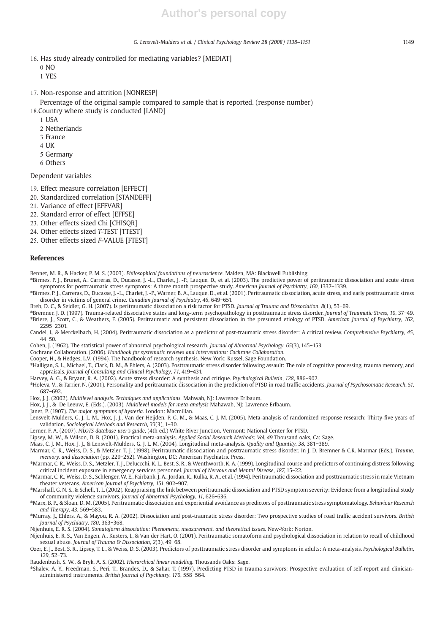#### 16. Has study already controlled for mediating variables? [MEDIAT]

 $0$  NO

1 YES

17. Non-response and attrition [NONRESP]

Percentage of the original sample compared to sample that is reported. (response number)

18.Country where study is conducted [LAND]

- 1 USA
- 2 Netherlands
- 3 France
- 4 UK
- 5 Germany
- 6 Others

Dependent variables

- 19. Effect measure correlation [EFFECT]
- 20. Standardized correlation [STANDEFF]
- 21. Variance of effect [EFFVAR]
- 22. Standard error of effect [EFFSE]
- 23. Other effects sized Chi [CHISQR]
- 24. Other effects sized T-TEST [TTEST]
- 25. Other effects sized F-VALUE [FTEST]
- 

#### References

Bennet, M. R., & Hacker, P. M. S. (2003). Philosophical foundations of neuroscience. Malden, MA: Blackwell Publishing.

- ⁎Birmes, P. J., Brunet, A., Carreras, D., Ducasse, J. -L., Charlet, J. -P., Lauque, D., et al. (2003). The predictive power of peritraumatic dissociation and acute stress symptoms for posttraumatic stress symptoms: A three month prospective study. American Journal of Psychiatry, 160, 1337-1339.
- ⁎Birmes, P. J., Carreras, D., Ducasse, J. -L., Charlet, J. -P., Warner, B. A., Lauque, D., et al. (2001). Peritraumatic dissociation, acute stress, and early posttraumatic stress disorder in victims of general crime. Canadian Journal of Psychiatry, 46, 649−651.
- Breh, D. C., & Seidler, G. H. (2007). Is peritraumatic dissociation a risk factor for PTSD. Journal of Trauma and Dissociation, 8(1), 53−69.
- ⁎Bremner, J. D. (1997). Trauma-related dissociative states and long-term psychopathology in posttraumatic stress disorder. Journal of Traumatic Stress, 10, 37−49. ⁎Briere, J., Scott, C., & Weathers, F. (2005). Peritraumatic and persistent dissociation in the presumed etiology of PTSD. American Journal of Psychiatry, 162, 2295−2301.
- Candel, I., & Merckelbach, H. (2004). Peritraumatic dissociation as a predictor of post-traumatic stress disorder: A critical review. Comprehensive Psychiatry, 45, 44−50.

Cohen, J. (1962). The statistical power of abnormal psychological research. Journal of Abnormal Psychology, 65(3), 145−153.

- Cochrane Collaboration. (2006). Handbook for systematic reviews and interventions: Cochrane Collaboration.
- Cooper, H., & Hedges, L.V. (1994). The handbook of research synthesis. New-York: Russel, Sage Foundation.
- ⁎Halligan, S. L., Michael, T., Clark, D. M., & Ehlers, A. (2003). Posttraumatic stress disorder following assault: The role of cognitive processing, trauma memory, and appraisals. Journal of Consulting and Clinical Psychology, 71, 419−431.
- Harvey, A. G., & Bryant, R. A. (2002). Acute stress disorder: A synthesis and critique. Psychological Bulletin, 128, 886−902.
- ⁎Holeva, V., & Tarrier, N. (2001). Personality and peritraumatic dissociation in the prediction of PTSD in road traffic accidents. Journal of Psychosomatic Research, 51, 687−692.
- Hox, J. J. (2002). Multilevel analysis. Techniques and applications. Mahwah, NJ: Lawrence Erlbaum.
- Hox, J. J., & De Leeuw, E. (Eds.). (2003). Multilevel models for meta-analysis Mahawah, NJ: Lawrence Erlbaum.
- Janet, P. (1907). The major symptoms of hysteria. London: Macmillan.
- Lensvelt-Mulders, G. J. L. M., Hox, J. J., Van der Heijden, P. G. M., & Maas, C. J. M. (2005). Meta-analysis of randomized response research: Thirty-five years of validation. Sociological Methods and Research, 33(3), 1−30.
- Lerner, F. A. (2007). PILOTS database user's guide, (4th ed.) White River Junction, Vermont: National Center for PTSD.
- Lipsey, M. W., & Wilson, D. B. (2001). Practical meta-analysis. Applied Social Research Methods: Vol. 49 Thousand oaks, Ca: Sage.
- Maas, C. J. M., Hox, J. J., & Lensvelt-Mulders, G. J. L. M. (2004). Longitudinal meta-analysis. Quality and Quantity, 38, 381−389.
- Marmar, C. R., Weiss, D. S., & Metzler, T. J. (1998). Peritraumatic dissociation and posttraumatic stress disorder. In J. D. Bremner & C.R. Marmar (Eds.), Trauma, memory, and dissociation (pp. 229−252). Washington, DC: American Psychiatric Press.
- ⁎Marmar, C. R., Weiss, D. S., Metzler, T. J., Deluccchi, K. L., Best, S. R., & Wenthworth, K. A. (1999). Longitudinal course and predictors of continuing distress following critical incident exposure in emergency services personnel. Journal of Nervous and Mental Disease, 187, 15−22.

⁎Marmar, C. R., Weiss, D. S., Schlenger, W. E., Fairbank, J. A., Jordan, K., Kulka, R. A., et al. (1994). Peritraumatic dissociation and posttraumatic stress in male Vietnam theater veterans. American Journal of Psychiatry, 151, 902−907.

⁎Marshall, G. N. S., & Schell, T. L. (2002). Reappraising the link between peritraumatic dissociation and PTSD symptom severity: Evidence from a longitudinal study of community violence survivors. Journal of Abnormal Psychology, 11, 626−636.

⁎Marx, B. P., & Sloan, D. M. (2005). Peritraumatic dissociation and experiential avoidance as predictors of posttraumatic stress symptomatology. Behaviour Research and Therapy, 43, 569−583.

- ⁎Murray, J., Ehlers, A., & Mayou, R. A. (2002). Dissociation and post-traumatic stress disorder: Two prospective studies of road traffic accident survivors. British Journal of Psychiatry, 180, 363−368.
- Nijenhuis, E. R. S. (2004). Somatoform dissociation: Phenomena, measurement, and theoretical issues. New-York: Norton.

Nijenhuis, E. R. S., Van Engen, A., Kusters, I., & Van der Hart, O. (2001). Peritraumatic somatoform and psychological dissociation in relation to recall of childhood sexual abuse. Journal of Trauma & Dissociation, 2(3), 49-68.

- Ozer, E. J., Best, S. R., Lipsey, T. L., & Weiss, D. S. (2003). Predictors of posttraumatic stress disorder and symptoms in adults: A meta-analysis. Psychological Bulletin, 129, 52−73.
- Raudenbush, S. W., & Bryk, A. S. (2002). Hierarchical linear modeling. Thousands Oaks: Sage.
- ⁎Shalev, A. Y., Freedman, S., Peri, T., Brandes, D., & Sahar, T. (1997). Predicting PTSD in trauma survivors: Prospective evaluation of self-report and clinicianadministered instruments. British Journal of Psychiatry, 170, 558−564.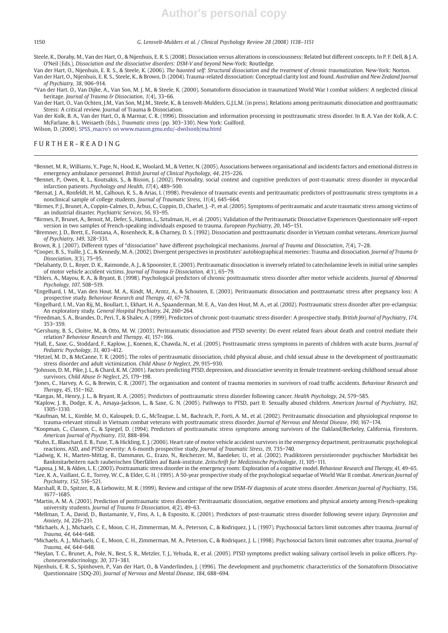Steele, K., Dorahy, M., Van der Hart, O., & Nijenhuis, E. R. S. (2008). Dissociation versus alterations in consciousness: Related but different concepts. In P. F. Dell, & J. A. O'Neil (Eds.), Dissociation and the dissociative disorders: DSM-V and beyond New-York: Routledge.

Van der Hart, O., Nijenhuis, E. R. S., & Steele, K. (2006). The haunted self: Structural dissociation and the treatment of chronic traumatization. New-York: Norton. Van der Hart, O., Nijenhuis, E. R. S., Steele, K., & Brown, D. (2004). Trauma-related dissociation: Conceptual clarity lost and found. Australian and New Zealand Journal

of Psychiatry, 38, 906−914. ⁎Van der Hart, O., Van Dijke, A., Van Son, M. J. M., & Steele, K. (2000). Somatoform dissociation in traumatized World War I combat soldiers: A neglected clinical

heritage. Journal of Trauma & Dissociation, 1(4), 33−66.

Van der Hart, O., Van Ochten, J.M., Van Son, M.J.M., Steele, K., & Lensvelt-Mulders, G.J.L.M. (in press). Relations among peritraumatic dissociation and posttraumatic Stress: A critical review. Journal of Trauma & Dissociation.

Van der Kolk, B. A., Van der Hart, O., & Marmar, C. R. (1996). Dissociation and information processing in posttraumatic stress disorder. In B. A. Van der Kolk, A. C. McFarlane, & L. Weisaeth (Eds.), Traumatic stress (pp. 303−330). New York: Guilford.

Wilson, D. (2000). SPSS\_macro's on www.mason.gmu.edu/~dwilsonb/ma.html

#### FURTHER-READING

- ⁎Bennet, M. R., Williams, Y., Page, N., Hood, K., Woolard, M., & Vetter, N. (2005). Associations between organisational and incidents factors and emotional distress in emergency ambulance personnel. British Journal of Clinical Psychology, 44, 215−226.
- ⁎Bennet, P., Owen, R. L., Koutsakis, S., & Bisson, J. (2002). Personality, social context and cognitive predictors of post-traumatic stress disorder in myocardial infarction patients. Psychology and Health, 17(4), 489−500.
- ⁎Bernat, J. A., Ronfeldt, H. M., Calhoun, K. S., & Arias, I. (1998). Prevalence of traumatic events and peritraumatic predictors of posttraumatic stress symptoms in a nonclinical sample of college students. Journal of Traumatic Stress, 11(4), 645−664.

⁎Birmes, P. J., Brunet, A., Coppin-Calmes, D., Arbus, C., Coppin, D., Charlet, J. -P., et al. (2005). Symptoms of peritraumatic and acute traumatic stress among victims of an industrial disaster. Psychiatric Services, 56, 93−95.

⁎Birmes, P., Brunet, A., Benoit, M., Defer, S., Hatton, L., Sztulman, H., et al. (2005). Validation of the Peritraumatic Dissociative Experiences Questionnaire self-report version in two samples of French-speaking individuals exposed to trauma. European Psychiatry, 20, 145−151.

⁎Bremner, J. D., Brett, E., Fontana, A., Rosenheck, R., & Charney, D. S. (1992). Dissociation and posttraumatic disorder in Vietnam combat veterans. American Journal of Psychiatry, 149, 328−331.

Brown, R. J. (2007). Different types of "dissociation" have different psychological mechanisms. Journal of Trauma and Dissociation, 7(4), 7−28.

\*Cooper, B. S., Yuille, J. C., & Kennedy, M. A. (2002). Divergent perspectives in prostitutes' autobiographical memories: Trauma and dissociation. Journal of Trauma & Dissociation, 3(3), 75−95.

⁎Delahanty, D. L., Royer, D. K., Raimonde, A. J., & Spoonster, E. (2003). Peritraumatic dissociation is inversely related to catecholamine levels in initial urine samples of motor vehicle accident victims. Journal of Trauma & Dissociation, 4(1), 65−79.

⁎Ehlers, A., Mayou, R. A., & Bryant, B. (1998). Psychological predictors of chronic posttraumatic stress disorder after motor vehicle accidents. Journal of Abnormal Psychology, 107, 508−519.

⁎Engelhard, I. M., Van den Hout, M. A., Kindt, M., Arntz, A., & Schouten, E. (2003). Peritraumatic dissociation and posttraumatic stress after pregnancy loss: A prospective study. Behaviour Research and Therapy, 41, 67−78.

⁎Engelhard, I. M., Van Rij, M., Boullart, I., Ekhart, H. A., Spaanderman, M. E. A., Van den Hout, M. A., et al. (2002). Posttraumatic stress disorder after pre-eclampsia: An exploratory study. General Hospital Psychiatry, 24, 260−264.

⁎Freedman, S. A., Brandes, D., Peri, T., & Shalev, A. (1999). Predictors of chronic post-traumatic stress disorder: A prospective study. British Journal of Psychiatry, 174, 353−359.

⁎Gershuny, B. S., Cloitre, M., & Otto, M. W. (2003). Peritraumatic dissociation and PTSD severity: Do event related fears about death and control mediate their relation? Behaviour Research and Therapy, 41, 157−166.

⁎Hall, E., Saxe, G., Stoddard, F., Kaplow, J., Koenen, K., Chawda, N., et al. (2005). Posttraumatic stress symptoms in parents of children with acute burns. Journal of Pediatric Psychology, 31, 403−412.

⁎Hetzel, M. D., & McCanne, T. R. (2005). The roles of peritraumatic dissociation, child physical abuse, and child sexual abuse in the development of posttraumatic stress disorder and adult victimization. Child Abuse & Neglect, 29, 915−930.

⁎Johnson, D. M., Pike, J. L., & Chard, K. M. (2001). Factors predicting PTSD, depression, and dissociative severity in female treatment-seeking childhood sexual abuse survivors. Child Abuse & Neglect, 25, 179−198.

⁎Jones, C., Harvey, A. G., & Brewin, C. R. (2007). The organisation and content of trauma memories in survivors of road traffic accidents. Behaviour Research and Therapy, 45, 151−162.

⁎Kangas, M., Henry, J. L., & Bryant, R. A. (2005). Predictors of posttraumatic stress disorder following cancer. Health Psychology, 24, 579−585.

⁎Kaplow, J. B., Dodge, K. A., Amaya-Jackson, L., & Saxe, G. N. (2005). Pathways to PTSD, part II: Sexually abused children. American Journal of Psychiatry, 162, 1305−1310.

⁎Kaufman, M. L., Kimble, M. O., Kaloupek, D. G., McTeague, L. M., Bachrach, P., Forti, A. M., et al. (2002). Peritraumatic dissociation and physiological response to trauma-relevant stimuli in Vietnam combat veterans with posttraumatic stress disorder. Journal of Nervous and Mental Disease, 190, 167−174.

⁎Koopman, C., Classen, C., & Spiegel, D. (1994). Predictors of posttraumatic stress symptoms among survivors of the Oakland/Berkeley, California, Firestorm. American Journal of Psychiatry, 151, 888−894.

⁎Kuhn, E., Blanchard, E. B., Fuse, T., & Hickling, E. J. (2006). Heart rate of motor vehicle accident survivors in the emergency department, peritraumatic psychological reactions, ASD, and PTSD severity: A 6-month prospective study. Journal of Traumatic Stress, 19, 735−740.

⁎Ladwig, K. H., Marten-Mittag, B., Dammann, G., Erazo, N., Reicherzer, M., Baedeker, U., et al. (2002). Pradiktoren persistierender psychischer Morbidität bei Bankmitarbeitern nach rauberischen Überfällen auf Bank-institute. Zeitschrift fur Medizinische Psychologie, 11, 105−111.

⁎Laposa, J. M., & Alden, L. E. (2003). Posttraumatic stress disorder in the emergency room: Exploration of a cognitive model. Behaviour Research and Therapy, 41, 49−65. ⁎Lee, K. A., Vaillant, G. E., Torrey, W. C., & Elder, G. H. (1995). A 50-year prospective study of the psychological sequelae of World War II combat. American Journal of Psychiatry, 152, 516−521.

Marshall, R. D., Spitzer, R., & Liebowitz, M. R. (1999). Review and critique of the new DSM-IV diagnosis of acute stress disorder. American Journal of Psychiatry, 156, 1677−1685.

⁎Martin, A. M. A. (2003). Prediction of posttraumatic stress disorder: Peritraumatic dissociation, negative emotions and physical anxiety among French-speaking university students. Journal of Trauma & Dissociation, 4(2), 49-63.

⁎Mellman, T. A., David, D., Bustamante, V., Fins, A. I., & Esposito, K. (2001). Predictors of post-traumatic stress disorder following severe injury. Depression and Anxiety, 14, 226−231.

⁎Michaels, A. J., Michaels, C. E., Moon, C. H., Zimmerman, M. A., Peterson, C., & Rodriquez, J. L. (1997). Psychosocial factors limit outcomes after trauma. Journal of Trauma, 44, 644−648.

⁎Michaels, A. J., Michaels, C. E., Moon, C. H., Zimmerman, M. A., Peterson, C., & Rodriquez, J. L. (1998). Psychosocial factors limit outcomes after trauma. Journal of Trauma, 44, 644−648.

⁎Neylan, T. C., Brunet, A., Pole, N., Best, S. R., Metzler, T. J., Yehuda, R., et al. (2005). PTSD symptoms predict waking salivary cortisol levels in police officers. Psychoneuroendocrinology, 30, 373−381.

Nijenhuis, E. R. S., Spinhoven, P., Van der Hart, O., & Vanderlinden, J. (1996). The development and psychometric characteristics of the Somatoform Dissociative Questionnaire (SDQ-20). Journal of Nervous and Mental Disease, 184, 688−694.